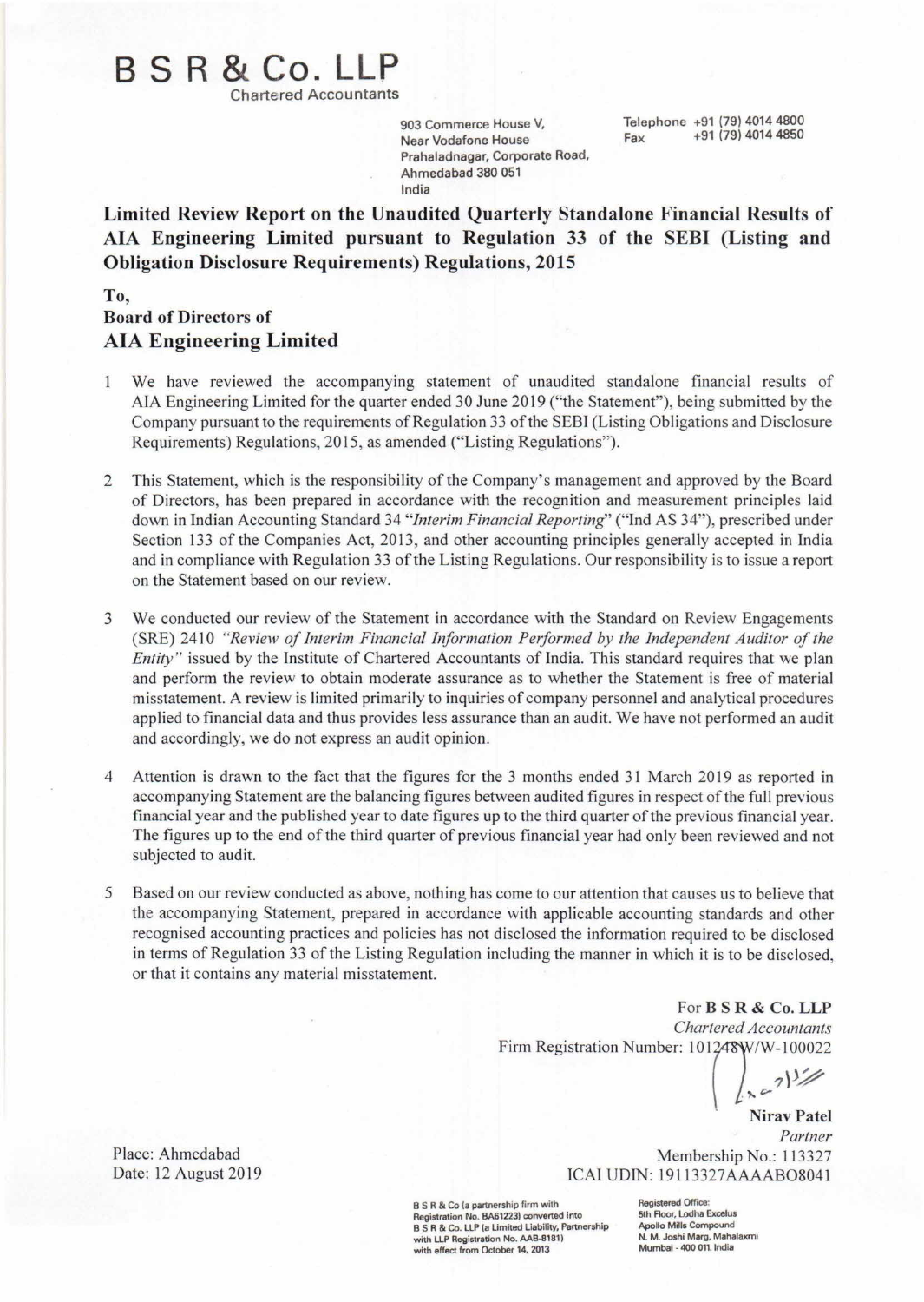# B S R **& Co. LLP**

Chartered Accountants

903 Commerce House V, Near Vodafone House Prahaladnagar, Corporate Road, Ahmedabad 380 051 India

Telephone +91 (79) 4014 4800  $F_{av}$  +91 (79) 4014 4850

Limited Review Report on the Unaudited Quarterly Standalone Financial Results of AlA Engineering Limited pursuant to Regulation 33 of the SEBI (Listing and Obligation Disclosure Requirements) Regulations, 2015

#### To, Board of Directors of AlA Engineering Limited

- We have reviewed the accompanying statement of unaudited standalone financial results of  $\overline{1}$ AlA Engineering Limited for the quarter ended 30 June 2019 ("the Statement"), being submitted by the Company pursuant to the requirements of Regulation 33 of the SEBI (Listing Obligations and Disclosure Requirements) Regulations, 2015, as amended ("Listing Regulations").
- 2 This Statement, which is the responsibility of the Company's management and approved by the Board of Directors, has been prepared in accordance with the recognition and measurement principles laid down in Indian Accounting Standard 34 *"Interim Financial Reporting"* ("Ind AS 34"), prescribed under Section 133 of the Companies Act, 2013, and other accounting principles generally accepted in India and in compliance with Regulation 33 of the Listing Regulations. Our responsibility is to issue a report on the Statement based on our review.
- 3 We conducted our review of the Statement in accordance with the Standard on Review Engagements (SRE) 2410 *"Review of Interim Financial Information Performed by the Independent Auditor of the Entity*" issued by the Institute of Chartered Accountants of India. This standard requires that we plan and perform the review to obtain moderate assurance as to whether the Statement is free of material misstatement. A review is limited primarily to inquiries of company personnel and analytical procedures applied to financial data and thus provides less assurance than an audit. We have not performed an audit and accordingly, we do not express an audit opinion.
- 4 Attention is drawn to the fact that the figures for the 3 months ended 31 March 2019 as reported in accompanying Statement are the balancing figures between audited figures in respect of the full previous financial year and the published year to date figures up to the third quarter of the previous financial year. The figures up to the end of the third quarter of previous financial year had only been reviewed and not subjected to audit.
- 5 Based on our review conducted as above, nothing has come to our attention that causes us to believe that the accompanying Statement, prepared in accordance with applicable accounting standards and other recognised accounting practices and policies has not disclosed the information required to be disclosed in terms of Regulation 33 of the Listing Regulation including the manner in which it is to be disclosed, or that it contains any material misstatement.

For **B** S R & Co. LLP *Chartered Accountants* Firm Registration Number: 101248W/W-100022

 $\int_{0}^{\infty} e^{-7} dx$ 

Nirav Patel *Partner* Membership No.: 113327 ICAI UDIN: 19113327AAAAB08041

B S R & Co (a partnership firm with Registration No. BA61223) converted into B S R & Co. LLP (a Limited Liability, Partnership with LLP Registration No. AAB-8181) with effect from October 14, 2013

Registered Office: 5th Floor, Lodha Excelus Apollo Mills Compound N. M. Joshi Marg, Mahalaxr<br>Mumbai - 400 011. India

Place: Ahmedabad Date: 12 August 2019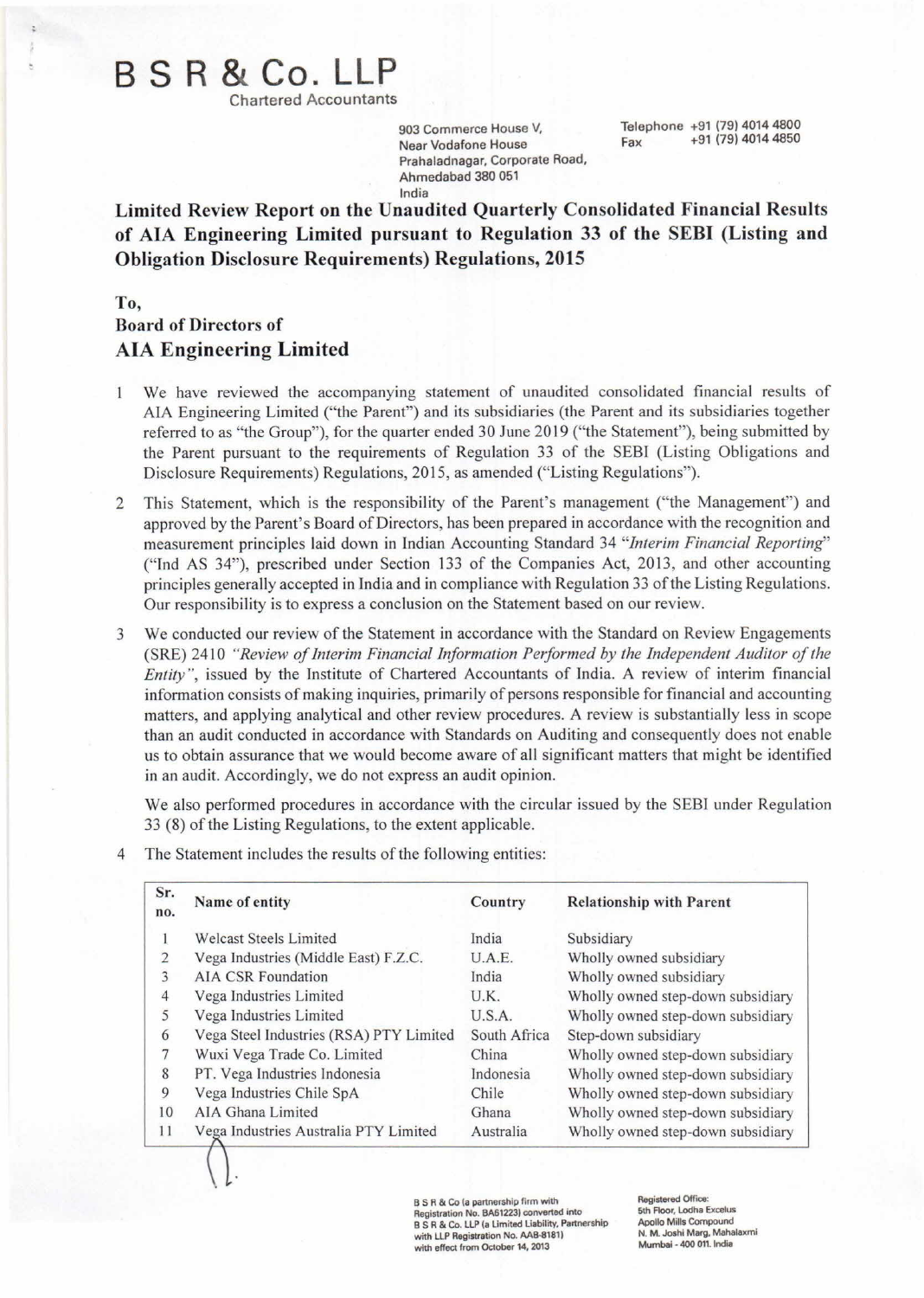## B S R **& Co. LLP**

Chartered Accountants

903 Commerce House V, Near Vodafone House Prahaladnagar, Corporate Road, Ahmedabad 380 051 India

Telephone +91 (79) 4014 4800 Fax +91 (79) 4014 4850

Limited Review Report on the Unaudited Quarterly Consolidated Financial Results of AlA Engineering Limited pursuant to Regulation 33 of the SEBI (Listing and Obligation Disclosure Requirements) Regulations, 2015

To,

### Board of Directors of AlA Engineering Limited

- We have reviewed the accompanying statement of unaudited consolidated financial results of 1 AlA Engineering Limited ("the Parent") and its subsidiaries (the Parent and its subsidiaries together referred to as "the Group"), for the quarter ended 30 June 2019 ("the Statement"), being submitted by the Parent pursuant to the requirements of Regulation 33 of the SEBI (Listing Obligations and Disclosure Requirements) Regulations, 2015, as amended ("Listing Regulations").
- 2 This Statement, which is the responsibility of the Parent's management ("the Management") and approved by the Parent's Board of Directors, has been prepared in accordance with the recognition and measurement principles laid down in Indian Accounting Standard 34 *"Interim Financial Reporting"* ("Ind AS 34"), prescribed under Section 133 of the Companies Act, 2013, and other accounting principles generally accepted in India and in compliance with Regulation 33 of the Listing Regulations. Our responsibility is to express a conclusion on the Statement based on our review.
- 3 We conducted our review of the Statement in accordance with the Standard on Review Engagements (SRE) 2410 *"Review of Interim Financial Information Performed by the Independent Auditor of the Entity*", issued by the Institute of Chartered Accountants of India. A review of interim financial information consists of making inquiries, primarily of persons responsible for financial and accounting matters, and applying analytical and other review procedures. A review is substantially less in scope than an audit conducted in accordance with Standards on Auditing and consequently does not enable us to obtain assurance that we would become aware of all significant matters that might be identified in an audit. Accordingly, we do not express an audit opinion.

We also performed procedures in accordance with the circular issued by the SEBI under Regulation 33 (8) of the Listing Regulations, to the extent applicable.

4 The Statement includes the results of the following entities:

 $\left(\,\right)$  .

| Sr.<br>no. | Name of entity                          | Country      | <b>Relationship with Parent</b>   |
|------------|-----------------------------------------|--------------|-----------------------------------|
|            | <b>Welcast Steels Limited</b>           | India        | Subsidiary                        |
| 2          | Vega Industries (Middle East) F.Z.C.    | U.A.E.       | Wholly owned subsidiary           |
| 3          | <b>AIA CSR Foundation</b>               | India        | Wholly owned subsidiary           |
|            | Vega Industries Limited                 | U.K.         | Wholly owned step-down subsidiary |
| 5          | Vega Industries Limited                 | U.S.A.       | Wholly owned step-down subsidiary |
| 6          | Vega Steel Industries (RSA) PTY Limited | South Africa | Step-down subsidiary              |
|            | Wuxi Vega Trade Co. Limited             | China        | Wholly owned step-down subsidiary |
| 8          | PT. Vega Industries Indonesia           | Indonesia    | Wholly owned step-down subsidiary |
| 9          | Vega Industries Chile SpA               | Chile        | Wholly owned step-down subsidiary |
| 10         | AIA Ghana Limited                       | Ghana        | Wholly owned step-down subsidiary |
| 11         | Vega Industries Australia PTY Limited   | Australia    | Wholly owned step-down subsidiary |

B S R & Co (a partnership firm with Registration No. BA61223) converted into B S R & Co. LLP (a Limited Liability, Partnership with LLP Registration No. AAB-8181) with effect from October 14, 2013

Registered Office: 5th Floor, Lodha Excelus Apollo Mills Compound N. M. Joshi Marg, Mahalaxmi Mumbai • 400 011. India